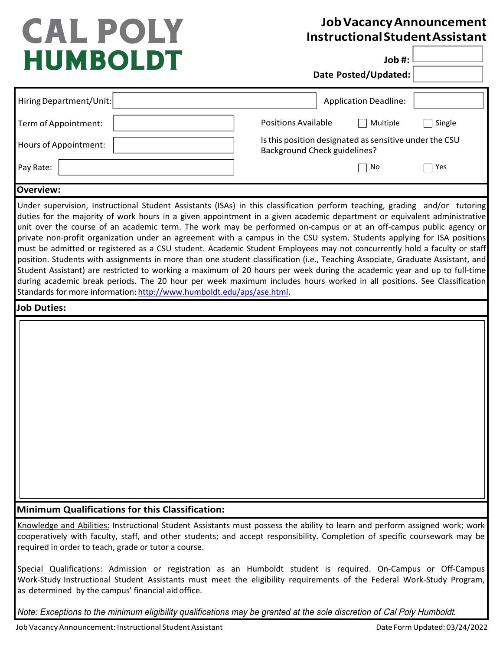## **CAL POLY HUMBOLDT**

## **JobVacancyAnnouncement InstructionalStudentAssistant**

**Job #:**

**Date Posted/Updated:**

| Hiring Department/Unit:                                                                                                                                                                                                                                                                                                                                                                                                                                                                                                                                                                                                                                                                                                                                                                                                                                                                                                                                                                                                                                                                               |                            | <b>Application Deadline:</b>                                                                  |        |
|-------------------------------------------------------------------------------------------------------------------------------------------------------------------------------------------------------------------------------------------------------------------------------------------------------------------------------------------------------------------------------------------------------------------------------------------------------------------------------------------------------------------------------------------------------------------------------------------------------------------------------------------------------------------------------------------------------------------------------------------------------------------------------------------------------------------------------------------------------------------------------------------------------------------------------------------------------------------------------------------------------------------------------------------------------------------------------------------------------|----------------------------|-----------------------------------------------------------------------------------------------|--------|
| Term of Appointment:                                                                                                                                                                                                                                                                                                                                                                                                                                                                                                                                                                                                                                                                                                                                                                                                                                                                                                                                                                                                                                                                                  | <b>Positions Available</b> | Multiple                                                                                      | Single |
| Hours of Appointment:                                                                                                                                                                                                                                                                                                                                                                                                                                                                                                                                                                                                                                                                                                                                                                                                                                                                                                                                                                                                                                                                                 |                            | Is this position designated as sensitive under the CSU<br><b>Background Check guidelines?</b> |        |
| Pay Rate:                                                                                                                                                                                                                                                                                                                                                                                                                                                                                                                                                                                                                                                                                                                                                                                                                                                                                                                                                                                                                                                                                             |                            | No                                                                                            | Yes    |
| <b>Overview:</b>                                                                                                                                                                                                                                                                                                                                                                                                                                                                                                                                                                                                                                                                                                                                                                                                                                                                                                                                                                                                                                                                                      |                            |                                                                                               |        |
| Under supervision, Instructional Student Assistants (ISAs) in this classification perform teaching, grading and/or tutoring<br>duties for the majority of work hours in a given appointment in a given academic department or equivalent administrative<br>unit over the course of an academic term. The work may be performed on-campus or at an off-campus public agency or<br>private non-profit organization under an agreement with a campus in the CSU system. Students applying for ISA positions<br>must be admitted or registered as a CSU student. Academic Student Employees may not concurrently hold a faculty or staff<br>position. Students with assignments in more than one student classification (i.e., Teaching Associate, Graduate Assistant, and<br>Student Assistant) are restricted to working a maximum of 20 hours per week during the academic year and up to full-time<br>during academic break periods. The 20 hour per week maximum includes hours worked in all positions. See Classification<br>Standards for more information: http://www.humboldt.edu/aps/ase.html. |                            |                                                                                               |        |
| <b>Job Duties:</b>                                                                                                                                                                                                                                                                                                                                                                                                                                                                                                                                                                                                                                                                                                                                                                                                                                                                                                                                                                                                                                                                                    |                            |                                                                                               |        |
|                                                                                                                                                                                                                                                                                                                                                                                                                                                                                                                                                                                                                                                                                                                                                                                                                                                                                                                                                                                                                                                                                                       |                            |                                                                                               |        |
| <b>Minimum Qualifications for this Classification:</b>                                                                                                                                                                                                                                                                                                                                                                                                                                                                                                                                                                                                                                                                                                                                                                                                                                                                                                                                                                                                                                                |                            |                                                                                               |        |
| Knowledge and Abilities: Instructional Student Assistants must possess the ability to learn and perform assigned work; work<br>cooperatively with faculty, staff, and other students; and accept responsibility. Completion of specific coursework may be<br>required in order to teach, grade or tutor a course.                                                                                                                                                                                                                                                                                                                                                                                                                                                                                                                                                                                                                                                                                                                                                                                     |                            |                                                                                               |        |
| Special Qualifications: Admission or registration as an Humboldt student is required. On-Campus or Off-Campus<br>Work-Study Instructional Student Assistants must meet the eligibility requirements of the Federal Work-Study Program,<br>as determined by the campus' financial aid office.                                                                                                                                                                                                                                                                                                                                                                                                                                                                                                                                                                                                                                                                                                                                                                                                          |                            |                                                                                               |        |

*Note: Exceptions to the minimum eligibility qualifications may be granted at the sole discretion of* Cal Poly Humboldt*.*